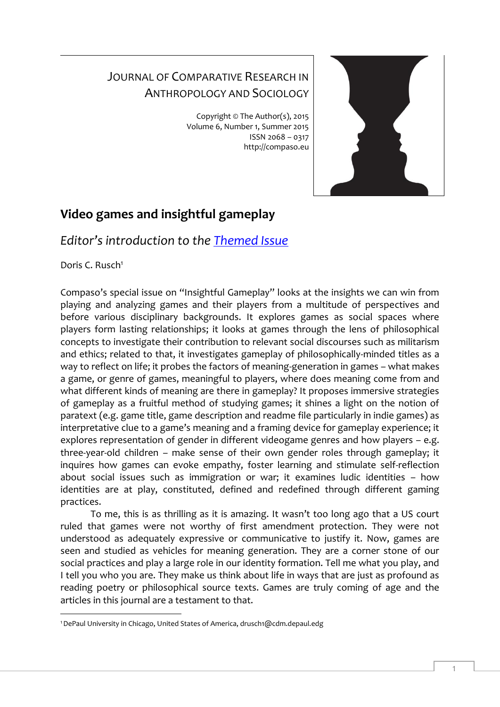## JOURNAL OF COMPARATIVE RESEARCH IN ANTHROPOLOGY AND SOCIOLOGY

Copyright © The Author(s), 2015 Volume 6, Number 1, Summer 2015 ISSN 2068 – 0317 http://compaso.eu



## **Video games and insightful gameplay**

*Editor's introduction to the [Themed Issue](http://compaso.eu/archive/issue-1-2015-video-games-and-insightful-gameplay/)*

Doris C. Rusch<sup>1</sup>

Compaso's special issue on "Insightful Gameplay" looks at the insights we can win from playing and analyzing games and their players from a multitude of perspectives and before various disciplinary backgrounds. It explores games as social spaces where players form lasting relationships; it looks at games through the lens of philosophical concepts to investigate their contribution to relevant social discourses such as militarism and ethics; related to that, it investigates gameplay of philosophically-minded titles as a way to reflect on life; it probes the factors of meaning-generation in games – what makes a game, or genre of games, meaningful to players, where does meaning come from and what different kinds of meaning are there in gameplay? It proposes immersive strategies of gameplay as a fruitful method of studying games; it shines a light on the notion of paratext (e.g. game title, game description and readme file particularly in indie games) as interpretative clue to a game's meaning and a framing device for gameplay experience; it explores representation of gender in different videogame genres and how players – e.g. three-year-old children – make sense of their own gender roles through gameplay; it inquires how games can evoke empathy, foster learning and stimulate self-reflection about social issues such as immigration or war; it examines ludic identities – how identities are at play, constituted, defined and redefined through different gaming practices.

To me, this is as thrilling as it is amazing. It wasn't too long ago that a US court ruled that games were not worthy of first amendment protection. They were not understood as adequately expressive or communicative to justify it. Now, games are seen and studied as vehicles for meaning generation. They are a corner stone of our social practices and play a large role in our identity formation. Tell me what you play, and I tell you who you are. They make us think about life in ways that are just as profound as reading poetry or philosophical source texts. Games are truly coming of age and the articles in this journal are a testament to that.

<sup>-</sup>1DePaul University in Chicago, United States of America, drusch1@cdm.depaul.edg